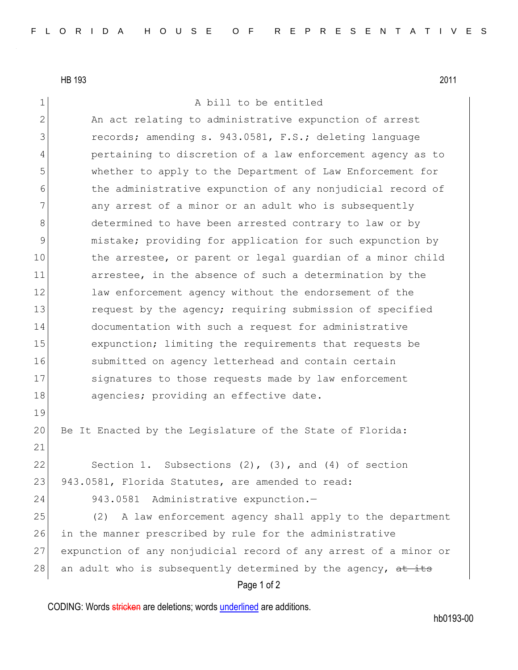HB 193 2011

1 A bill to be entitled

Page 1 of 2 2 An act relating to administrative expunction of arrest 3 records; amending s. 943.0581, F.S.; deleting language 4 pertaining to discretion of a law enforcement agency as to 5 whether to apply to the Department of Law Enforcement for 6 6 the administrative expunction of any nonjudicial record of 7 any arrest of a minor or an adult who is subsequently 8 determined to have been arrested contrary to law or by 9 mistake; providing for application for such expunction by 10 the arrestee, or parent or legal quardian of a minor child 11 arrestee, in the absence of such a determination by the 12 law enforcement agency without the endorsement of the 13 request by the agency; requiring submission of specified 14 documentation with such a request for administrative 15 expunction; limiting the requirements that requests be 16 Submitted on agency letterhead and contain certain 17 Signatures to those requests made by law enforcement 18 agencies; providing an effective date. 19 20 Be It Enacted by the Legislature of the State of Florida: 21 22 Section 1. Subsections  $(2)$ ,  $(3)$ , and  $(4)$  of section 23 943.0581, Florida Statutes, are amended to read: 24 943.0581 Administrative expunction.— 25 (2) A law enforcement agency shall apply to the department 26 in the manner prescribed by rule for the administrative 27 expunction of any nonjudicial record of any arrest of a minor or 28 an adult who is subsequently determined by the agency,  $at$  its

CODING: Words stricken are deletions; words underlined are additions.

hb0193-00